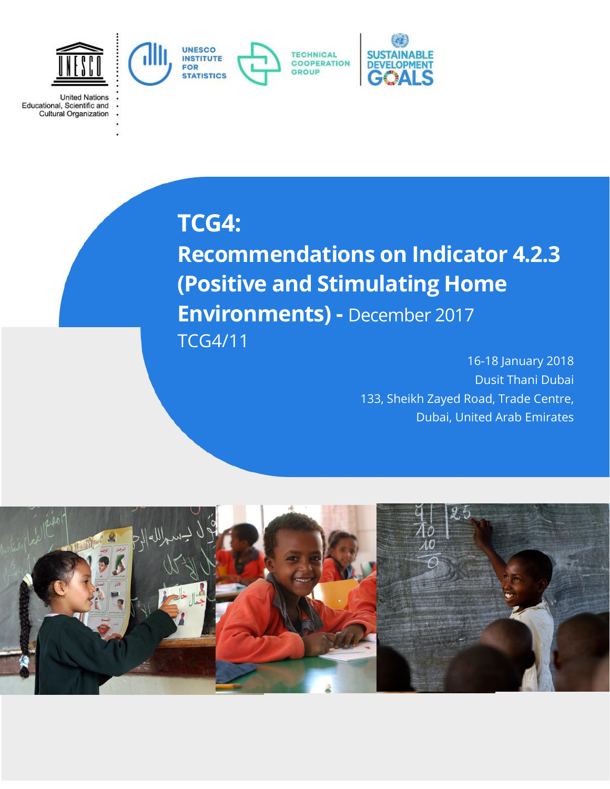

**United Nations** Educational, Scientific and<br>Cultural Organization

# **TCG4:**

**Recommendations on Indicator 4.2.3 (Positive and Stimulating Home Environments) -** December 2017 TCG4/11

> 16-18 January 2018 Dusit Thani Dubai 133, Sheikh Zayed Road, Trade Centre, Dubai, United Arab Emirates

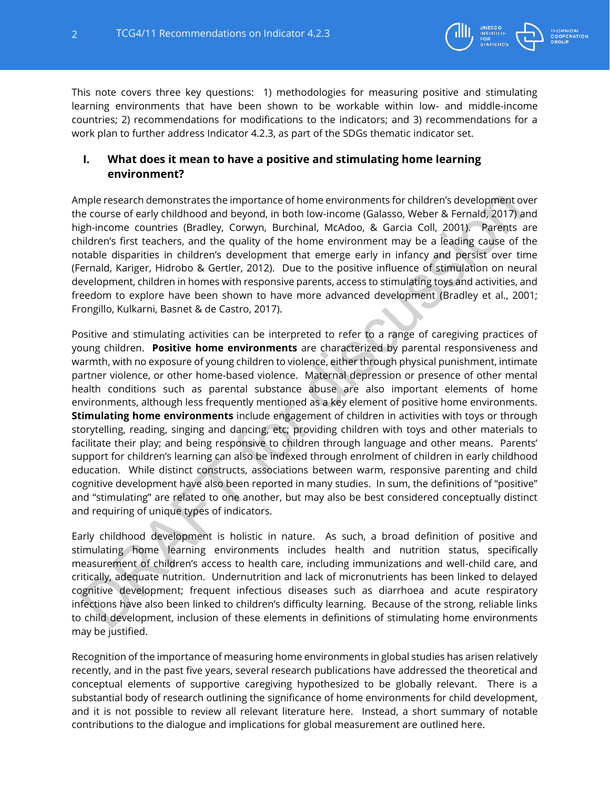

This note covers three key questions: 1) methodologies for measuring positive and stimulating learning environments that have been shown to be workable within low- and middle-income countries; 2) recommendations for modifications to the indicators; and 3) recommendations for a work plan to further address Indicator 4.2.3, as part of the SDGs thematic indicator set.

# **I. What does it mean to have a positive and stimulating home learning environment?**

Ample research demonstrates the importance of home environments for children's development over the course of early childhood and beyond, in both low-income (Galasso, Weber & Fernald, 2017) and high-income countries (Bradley, Corwyn, Burchinal, McAdoo, & Garcia Coll, 2001). Parents are children's first teachers, and the quality of the home environment may be a leading cause of the notable disparities in children's development that emerge early in infancy and persist over time (Fernald, Kariger, Hidrobo & Gertler, 2012). Due to the positive influence of stimulation on neural development, children in homes with responsive parents, access to stimulating toys and activities, and freedom to explore have been shown to have more advanced development (Bradley et al., 2001; Frongillo, Kulkarni, Basnet & de Castro, 2017).

Positive and stimulating activities can be interpreted to refer to a range of caregiving practices of young children. **Positive home environments** are characterized by parental responsiveness and warmth, with no exposure of young children to violence, either through physical punishment, intimate partner violence, or other home-based violence. Maternal depression or presence of other mental health conditions such as parental substance abuse are also important elements of home environments, although less frequently mentioned as a key element of positive home environments. **Stimulating home environments** include engagement of children in activities with toys or through storytelling, reading, singing and dancing, etc; providing children with toys and other materials to facilitate their play; and being responsive to children through language and other means. Parents' support for children's learning can also be indexed through enrolment of children in early childhood education. While distinct constructs, associations between warm, responsive parenting and child cognitive development have also been reported in many studies. In sum, the definitions of "positive" and "stimulating" are related to one another, but may also be best considered conceptually distinct and requiring of unique types of indicators.

Early childhood development is holistic in nature. As such, a broad definition of positive and stimulating home learning environments includes health and nutrition status, specifically measurement of children's access to health care, including immunizations and well-child care, and critically, adequate nutrition. Undernutrition and lack of micronutrients has been linked to delayed cognitive development; frequent infectious diseases such as diarrhoea and acute respiratory infections have also been linked to children's difficulty learning. Because of the strong, reliable links to child development, inclusion of these elements in definitions of stimulating home environments may be justified.

Recognition of the importance of measuring home environments in global studies has arisen relatively recently, and in the past five years, several research publications have addressed the theoretical and conceptual elements of supportive caregiving hypothesized to be globally relevant. There is a substantial body of research outlining the significance of home environments for child development, and it is not possible to review all relevant literature here. Instead, a short summary of notable contributions to the dialogue and implications for global measurement are outlined here.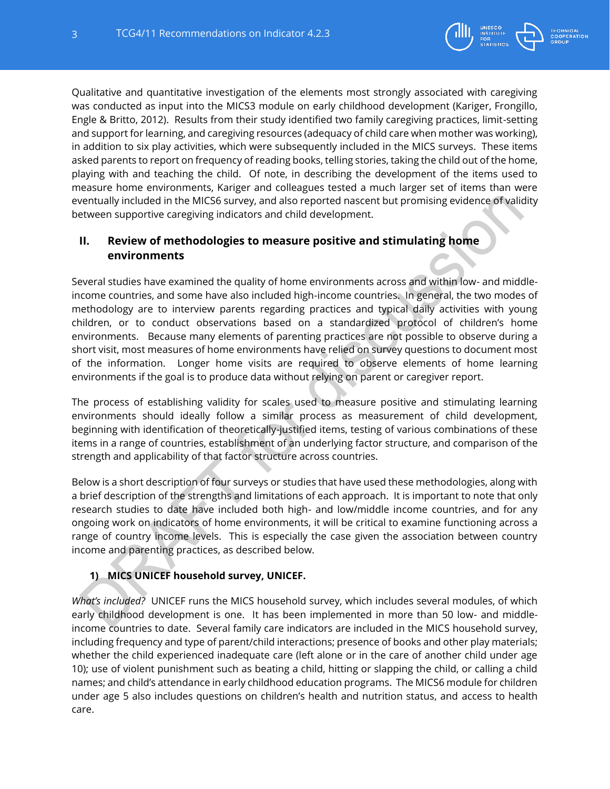

Qualitative and quantitative investigation of the elements most strongly associated with caregiving was conducted as input into the MICS3 module on early childhood development (Kariger, Frongillo, Engle & Britto, 2012). Results from their study identified two family caregiving practices, limit-setting and support for learning, and caregiving resources (adequacy of child care when mother was working), in addition to six play activities, which were subsequently included in the MICS surveys. These items asked parents to report on frequency of reading books, telling stories, taking the child out of the home, playing with and teaching the child. Of note, in describing the development of the items used to measure home environments, Kariger and colleagues tested a much larger set of items than were eventually included in the MICS6 survey, and also reported nascent but promising evidence of validity between supportive caregiving indicators and child development.

# **II. Review of methodologies to measure positive and stimulating home environments**

Several studies have examined the quality of home environments across and within low- and middleincome countries, and some have also included high-income countries. In general, the two modes of methodology are to interview parents regarding practices and typical daily activities with young children, or to conduct observations based on a standardized protocol of children's home environments. Because many elements of parenting practices are not possible to observe during a short visit, most measures of home environments have relied on survey questions to document most of the information. Longer home visits are required to observe elements of home learning environments if the goal is to produce data without relying on parent or caregiver report.

The process of establishing validity for scales used to measure positive and stimulating learning environments should ideally follow a similar process as measurement of child development, beginning with identification of theoretically-justified items, testing of various combinations of these items in a range of countries, establishment of an underlying factor structure, and comparison of the strength and applicability of that factor structure across countries.

Below is a short description of four surveys or studies that have used these methodologies, along with a brief description of the strengths and limitations of each approach. It is important to note that only research studies to date have included both high- and low/middle income countries, and for any ongoing work on indicators of home environments, it will be critical to examine functioning across a range of country income levels. This is especially the case given the association between country income and parenting practices, as described below.

# **1) MICS UNICEF household survey, UNICEF.**

*What's included?* UNICEF runs the MICS household survey, which includes several modules, of which early childhood development is one. It has been implemented in more than 50 low- and middleincome countries to date. Several family care indicators are included in the MICS household survey, including frequency and type of parent/child interactions; presence of books and other play materials; whether the child experienced inadequate care (left alone or in the care of another child under age 10); use of violent punishment such as beating a child, hitting or slapping the child, or calling a child names; and child's attendance in early childhood education programs. The MICS6 module for children under age 5 also includes questions on children's health and nutrition status, and access to health care.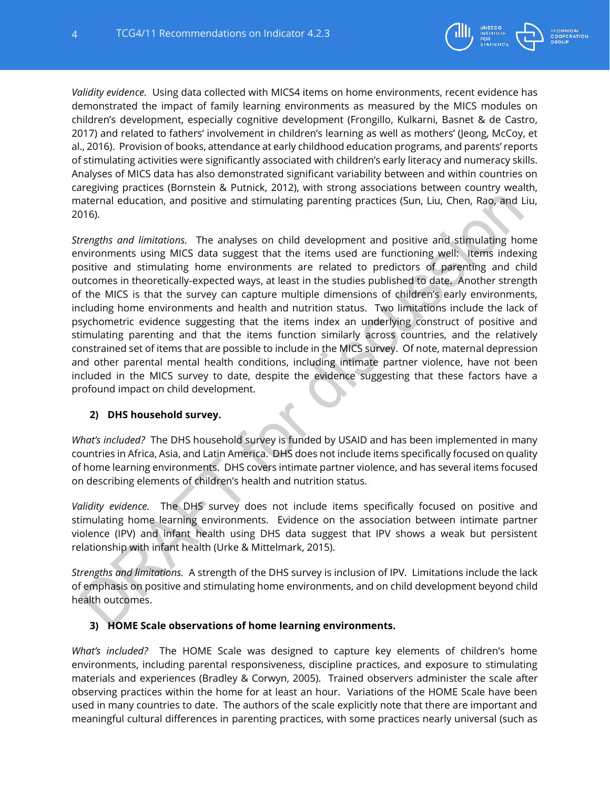

*Validity evidence.* Using data collected with MICS4 items on home environments, recent evidence has demonstrated the impact of family learning environments as measured by the MICS modules on children's development, especially cognitive development (Frongillo, Kulkarni, Basnet & de Castro, 2017) and related to fathers' involvement in children's learning as well as mothers' (Jeong, McCoy, et al., 2016). Provision of books, attendance at early childhood education programs, and parents' reports of stimulating activities were significantly associated with children's early literacy and numeracy skills. Analyses of MICS data has also demonstrated significant variability between and within countries on caregiving practices (Bornstein & Putnick, 2012), with strong associations between country wealth, maternal education, and positive and stimulating parenting practices (Sun, Liu, Chen, Rao, and Liu, 2016).

*Strengths and limitations.* The analyses on child development and positive and stimulating home environments using MICS data suggest that the items used are functioning well: Items indexing positive and stimulating home environments are related to predictors of parenting and child outcomes in theoretically-expected ways, at least in the studies published to date. Another strength of the MICS is that the survey can capture multiple dimensions of children's early environments, including home environments and health and nutrition status. Two limitations include the lack of psychometric evidence suggesting that the items index an underlying construct of positive and stimulating parenting and that the items function similarly across countries, and the relatively constrained set of items that are possible to include in the MICS survey. Of note, maternal depression and other parental mental health conditions, including intimate partner violence, have not been included in the MICS survey to date, despite the evidence suggesting that these factors have a profound impact on child development.

## **2) DHS household survey.**

*What's included?* The DHS household survey is funded by USAID and has been implemented in many countries in Africa, Asia, and Latin America. DHS does not include items specifically focused on quality of home learning environments. DHS covers intimate partner violence, and has several items focused on describing elements of children's health and nutrition status.

*Validity evidence.* The DHS survey does not include items specifically focused on positive and stimulating home learning environments. Evidence on the association between intimate partner violence (IPV) and infant health using DHS data suggest that IPV shows a weak but persistent relationship with infant health (Urke & Mittelmark, 2015).

*Strengths and limitations.* A strength of the DHS survey is inclusion of IPV. Limitations include the lack of emphasis on positive and stimulating home environments, and on child development beyond child health outcomes.

## **3) HOME Scale observations of home learning environments.**

*What's included?* The HOME Scale was designed to capture key elements of children's home environments, including parental responsiveness, discipline practices, and exposure to stimulating materials and experiences (Bradley & Corwyn, 2005). Trained observers administer the scale after observing practices within the home for at least an hour. Variations of the HOME Scale have been used in many countries to date. The authors of the scale explicitly note that there are important and meaningful cultural differences in parenting practices, with some practices nearly universal (such as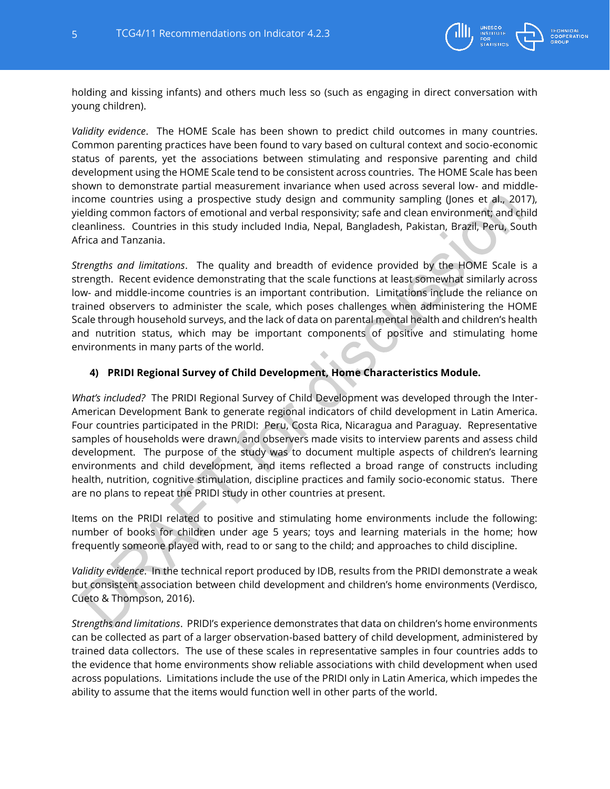

holding and kissing infants) and others much less so (such as engaging in direct conversation with young children).

*Validity evidence*. The HOME Scale has been shown to predict child outcomes in many countries. Common parenting practices have been found to vary based on cultural context and socio-economic status of parents, yet the associations between stimulating and responsive parenting and child development using the HOME Scale tend to be consistent across countries. The HOME Scale has been shown to demonstrate partial measurement invariance when used across several low- and middleincome countries using a prospective study design and community sampling (Jones et al., 2017), yielding common factors of emotional and verbal responsivity; safe and clean environment; and child cleanliness. Countries in this study included India, Nepal, Bangladesh, Pakistan, Brazil, Peru, South Africa and Tanzania.

*Strengths and limitations*. The quality and breadth of evidence provided by the HOME Scale is a strength. Recent evidence demonstrating that the scale functions at least somewhat similarly across low- and middle-income countries is an important contribution. Limitations include the reliance on trained observers to administer the scale, which poses challenges when administering the HOME Scale through household surveys, and the lack of data on parental mental health and children's health and nutrition status, which may be important components of positive and stimulating home environments in many parts of the world.

## **4) PRIDI Regional Survey of Child Development, Home Characteristics Module.**

*What's included?* The PRIDI Regional Survey of Child Development was developed through the Inter-American Development Bank to generate regional indicators of child development in Latin America. Four countries participated in the PRIDI: Peru, Costa Rica, Nicaragua and Paraguay. Representative samples of households were drawn, and observers made visits to interview parents and assess child development. The purpose of the study was to document multiple aspects of children's learning environments and child development, and items reflected a broad range of constructs including health, nutrition, cognitive stimulation, discipline practices and family socio-economic status. There are no plans to repeat the PRIDI study in other countries at present.

Items on the PRIDI related to positive and stimulating home environments include the following: number of books for children under age 5 years; toys and learning materials in the home; how frequently someone played with, read to or sang to the child; and approaches to child discipline.

*Validity evidence*. In the technical report produced by IDB, results from the PRIDI demonstrate a weak but consistent association between child development and children's home environments (Verdisco, Cueto & Thompson, 2016).

*Strengths and limitations*. PRIDI's experience demonstrates that data on children's home environments can be collected as part of a larger observation-based battery of child development, administered by trained data collectors. The use of these scales in representative samples in four countries adds to the evidence that home environments show reliable associations with child development when used across populations. Limitations include the use of the PRIDI only in Latin America, which impedes the ability to assume that the items would function well in other parts of the world.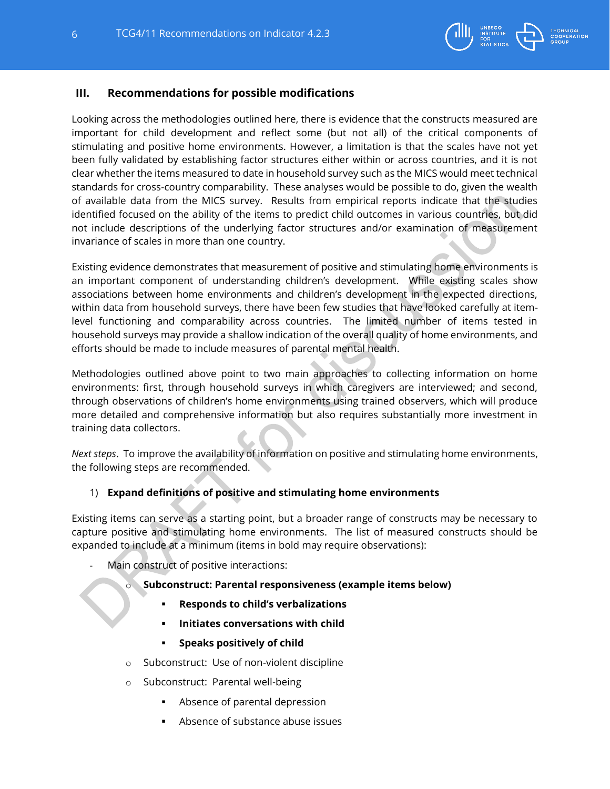

# **III. Recommendations for possible modifications**

Looking across the methodologies outlined here, there is evidence that the constructs measured are important for child development and reflect some (but not all) of the critical components of stimulating and positive home environments. However, a limitation is that the scales have not yet been fully validated by establishing factor structures either within or across countries, and it is not clear whether the items measured to date in household survey such as the MICS would meet technical standards for cross-country comparability. These analyses would be possible to do, given the wealth of available data from the MICS survey. Results from empirical reports indicate that the studies identified focused on the ability of the items to predict child outcomes in various countries, but did not include descriptions of the underlying factor structures and/or examination of measurement invariance of scales in more than one country.

Existing evidence demonstrates that measurement of positive and stimulating home environments is an important component of understanding children's development. While existing scales show associations between home environments and children's development in the expected directions, within data from household surveys, there have been few studies that have looked carefully at itemlevel functioning and comparability across countries. The limited number of items tested in household surveys may provide a shallow indication of the overall quality of home environments, and efforts should be made to include measures of parental mental health.

Methodologies outlined above point to two main approaches to collecting information on home environments: first, through household surveys in which caregivers are interviewed; and second, through observations of children's home environments using trained observers, which will produce more detailed and comprehensive information but also requires substantially more investment in training data collectors.

*Next steps*. To improve the availability of information on positive and stimulating home environments, the following steps are recommended.

## 1) **Expand definitions of positive and stimulating home environments**

Existing items can serve as a starting point, but a broader range of constructs may be necessary to capture positive and stimulating home environments. The list of measured constructs should be expanded to include at a minimum (items in bold may require observations):

Main construct of positive interactions:

## Subconstruct: Parental responsiveness (example items below)

- **Responds to child's verbalizations**
- **Initiates conversations with child**
- **Speaks positively of child**
- o Subconstruct: Use of non-violent discipline
- o Subconstruct: Parental well-being
	- Absence of parental depression
	- Absence of substance abuse issues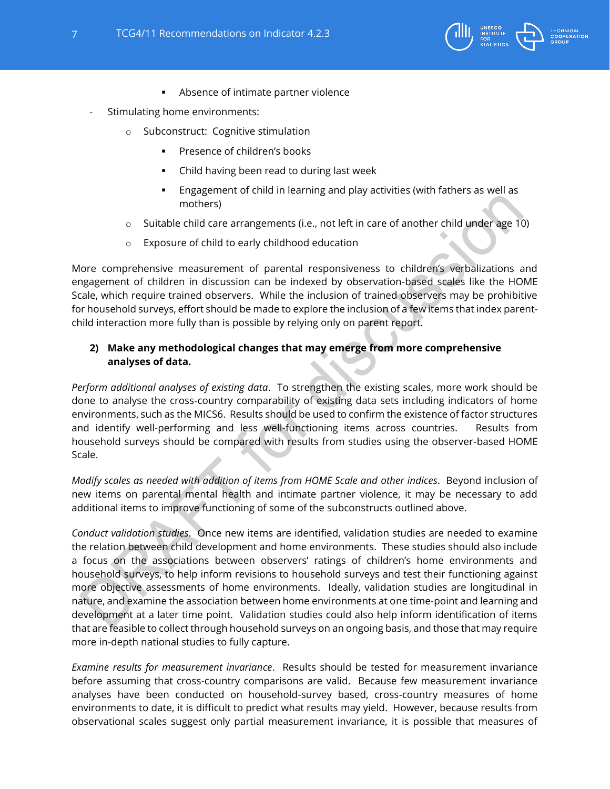

- Absence of intimate partner violence
- Stimulating home environments:
	- o Subconstruct: Cognitive stimulation
		- Presence of children's books
		- Child having been read to during last week
		- Engagement of child in learning and play activities (with fathers as well as mothers)
	- o Suitable child care arrangements (i.e., not left in care of another child under age 10)
	- o Exposure of child to early childhood education

More comprehensive measurement of parental responsiveness to children's verbalizations and engagement of children in discussion can be indexed by observation-based scales like the HOME Scale, which require trained observers. While the inclusion of trained observers may be prohibitive for household surveys, effort should be made to explore the inclusion of a few items that index parentchild interaction more fully than is possible by relying only on parent report.

## **2) Make any methodological changes that may emerge from more comprehensive analyses of data.**

*Perform additional analyses of existing data*. To strengthen the existing scales, more work should be done to analyse the cross-country comparability of existing data sets including indicators of home environments, such as the MICS6. Results should be used to confirm the existence of factor structures and identify well-performing and less well-functioning items across countries. Results from household surveys should be compared with results from studies using the observer-based HOME Scale.

*Modify scales as needed with addition of items from HOME Scale and other indices*. Beyond inclusion of new items on parental mental health and intimate partner violence, it may be necessary to add additional items to improve functioning of some of the subconstructs outlined above.

*Conduct validation studies*. Once new items are identified, validation studies are needed to examine the relation between child development and home environments. These studies should also include a focus on the associations between observers' ratings of children's home environments and household surveys, to help inform revisions to household surveys and test their functioning against more objective assessments of home environments. Ideally, validation studies are longitudinal in nature, and examine the association between home environments at one time-point and learning and development at a later time point. Validation studies could also help inform identification of items that are feasible to collect through household surveys on an ongoing basis, and those that may require more in-depth national studies to fully capture.

*Examine results for measurement invariance*. Results should be tested for measurement invariance before assuming that cross-country comparisons are valid. Because few measurement invariance analyses have been conducted on household-survey based, cross-country measures of home environments to date, it is difficult to predict what results may yield. However, because results from observational scales suggest only partial measurement invariance, it is possible that measures of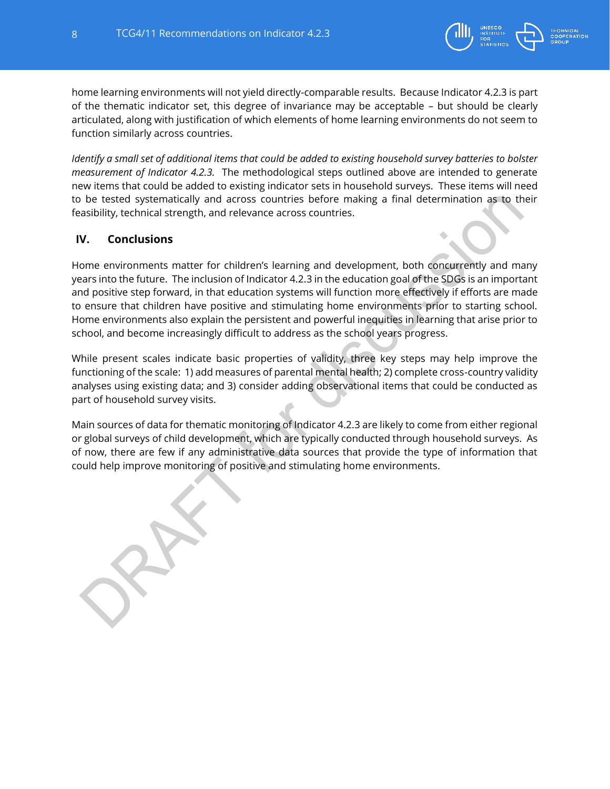

home learning environments will not yield directly-comparable results. Because Indicator 4.2.3 is part of the thematic indicator set, this degree of invariance may be acceptable – but should be clearly articulated, along with justification of which elements of home learning environments do not seem to function similarly across countries.

*Identify a small set of additional items that could be added to existing household survey batteries to bolster measurement of Indicator 4.2.3.* The methodological steps outlined above are intended to generate new items that could be added to existing indicator sets in household surveys. These items will need to be tested systematically and across countries before making a final determination as to their feasibility, technical strength, and relevance across countries.

# **IV. Conclusions**

Home environments matter for children's learning and development, both concurrently and many years into the future. The inclusion of Indicator 4.2.3 in the education goal of the SDGs is an important and positive step forward, in that education systems will function more effectively if efforts are made to ensure that children have positive and stimulating home environments prior to starting school. Home environments also explain the persistent and powerful inequities in learning that arise prior to school, and become increasingly difficult to address as the school years progress.

While present scales indicate basic properties of validity, three key steps may help improve the functioning of the scale: 1) add measures of parental mental health; 2) complete cross-country validity analyses using existing data; and 3) consider adding observational items that could be conducted as part of household survey visits.

Main sources of data for thematic monitoring of Indicator 4.2.3 are likely to come from either regional or global surveys of child development, which are typically conducted through household surveys. As of now, there are few if any administrative data sources that provide the type of information that could help improve monitoring of positive and stimulating home environments.